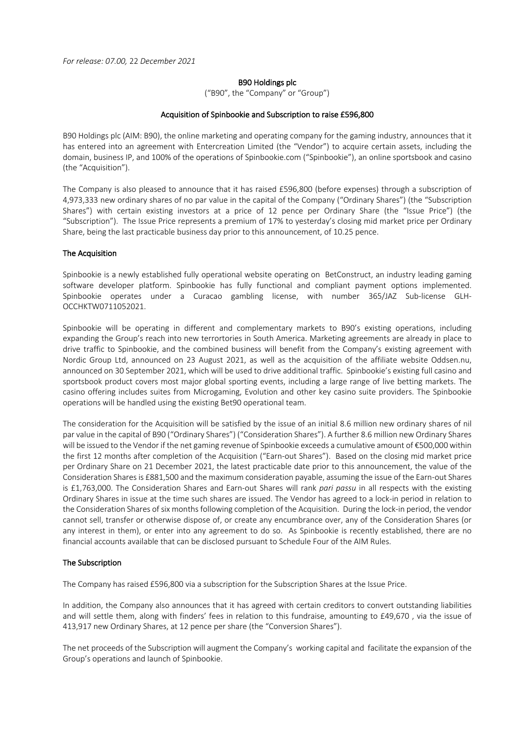*For release: 07.00,* 22 *December 2021*

### B90 Holdings plc

("B90", the "Company" or "Group")

### Acquisition of Spinbookie and Subscription to raise £596,800

B90 Holdings plc (AIM: B90), the online marketing and operating company for the gaming industry, announces that it has entered into an agreement with Entercreation Limited (the "Vendor") to acquire certain assets, including the domain, business IP, and 100% of the operations of Spinbookie.com ("Spinbookie"), an online sportsbook and casino (the "Acquisition").

The Company is also pleased to announce that it has raised £596,800 (before expenses) through a subscription of 4,973,333 new ordinary shares of no par value in the capital of the Company ("Ordinary Shares") (the "Subscription Shares") with certain existing investors at a price of 12 pence per Ordinary Share (the "Issue Price") (the "Subscription"). The Issue Price represents a premium of 17% to yesterday's closing mid market price per Ordinary Share, being the last practicable business day prior to this announcement, of 10.25 pence.

# The Acquisition

Spinbookie is a newly established fully operational website operating on BetConstruct, an industry leading gaming software developer platform. Spinbookie has fully functional and compliant payment options implemented. Spinbookie operates under a Curacao gambling license, with number 365/JAZ Sub-license GLH-OCCHKTW0711052021.

Spinbookie will be operating in different and complementary markets to B90's existing operations, including expanding the Group's reach into new terrortories in South America. Marketing agreements are already in place to drive traffic to Spinbookie, and the combined business will benefit from the Company's existing agreement with Nordic Group Ltd, announced on 23 August 2021, as well as the acquisition of the affiliate website Oddsen.nu, announced on 30 September 2021, which will be used to drive additional traffic. Spinbookie's existing full casino and sportsbook product covers most major global sporting events, including a large range of live betting markets. The casino offering includes suites from Microgaming, Evolution and other key casino suite providers. The Spinbookie operations will be handled using the existing Bet90 operational team.

The consideration for the Acquisition will be satisfied by the issue of an initial 8.6 million new ordinary shares of nil par value in the capital of B90 ("Ordinary Shares") ("Consideration Shares"). A further 8.6 million new Ordinary Shares will be issued to the Vendor if the net gaming revenue of Spinbookie exceeds a cumulative amount of €500,000 within the first 12 months after completion of the Acquisition ("Earn-out Shares"). Based on the closing mid market price per Ordinary Share on 21 December 2021, the latest practicable date prior to this announcement, the value of the Consideration Shares is £881,500 and the maximum consideration payable, assuming the issue of the Earn-out Shares is £1,763,000. The Consideration Shares and Earn-out Shares will rank *pari passu* in all respects with the existing Ordinary Shares in issue at the time such shares are issued. The Vendor has agreed to a lock-in period in relation to the Consideration Shares of six months following completion of the Acquisition. During the lock-in period, the vendor cannot sell, transfer or otherwise dispose of, or create any encumbrance over, any of the Consideration Shares (or any interest in them), or enter into any agreement to do so. As Spinbookie is recently established, there are no financial accounts available that can be disclosed pursuant to Schedule Four of the AIM Rules.

#### The Subscription

The Company has raised £596,800 via a subscription for the Subscription Shares at the Issue Price.

In addition, the Company also announces that it has agreed with certain creditors to convert outstanding liabilities and will settle them, along with finders' fees in relation to this fundraise, amounting to £49,670 , via the issue of 413,917 new Ordinary Shares, at 12 pence per share (the "Conversion Shares").

The net proceeds of the Subscription will augment the Company's working capital and facilitate the expansion of the Group's operations and launch of Spinbookie.